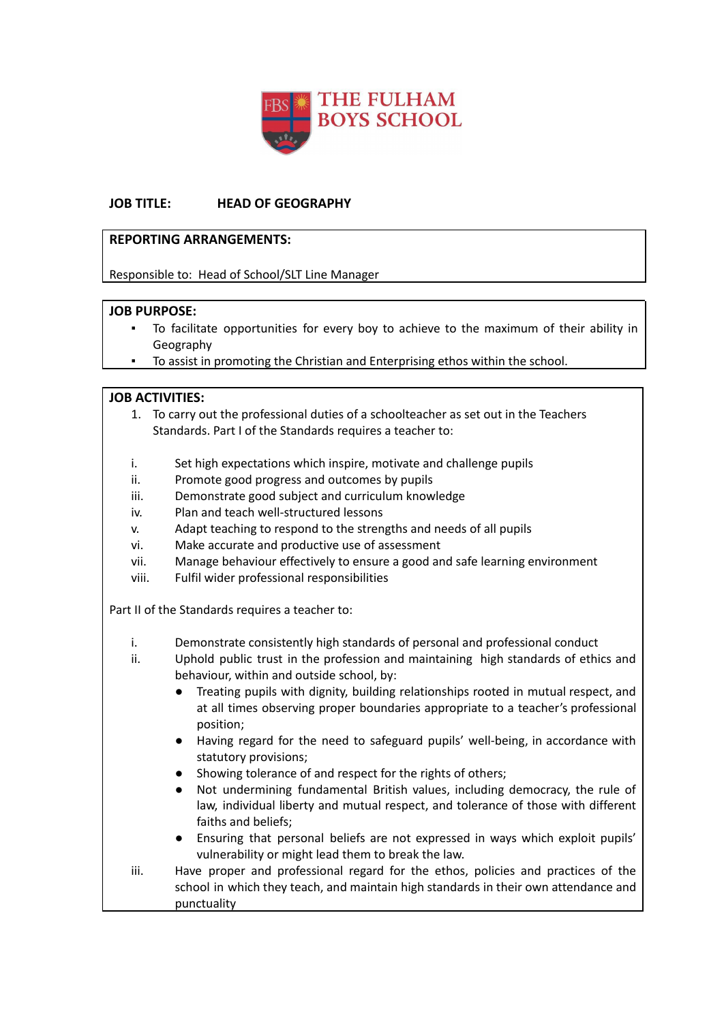

## **JOB TITLE: HEAD OF GEOGRAPHY**

#### **REPORTING ARRANGEMENTS:**

Responsible to: Head of School/SLT Line Manager

### **JOB PURPOSE:**

- To facilitate opportunities for every boy to achieve to the maximum of their ability in Geography
- To assist in promoting the Christian and Enterprising ethos within the school.

### **JOB ACTIVITIES:**

- 1. To carry out the professional duties of a schoolteacher as set out in the Teachers Standards. Part I of the Standards requires a teacher to:
- i. Set high expectations which inspire, motivate and challenge pupils
- ii. Promote good progress and outcomes by pupils
- iii. Demonstrate good subject and curriculum knowledge
- iv. Plan and teach well-structured lessons
- v. Adapt teaching to respond to the strengths and needs of all pupils
- vi. Make accurate and productive use of assessment
- vii. Manage behaviour effectively to ensure a good and safe learning environment
- viii. Fulfil wider professional responsibilities

Part II of the Standards requires a teacher to:

- i. Demonstrate consistently high standards of personal and professional conduct
- ii. Uphold public trust in the profession and maintaining high standards of ethics and behaviour, within and outside school, by:
	- Treating pupils with dignity, building relationships rooted in mutual respect, and at all times observing proper boundaries appropriate to a teacher's professional position;
	- Having regard for the need to safeguard pupils' well-being, in accordance with statutory provisions;
	- Showing tolerance of and respect for the rights of others;
	- Not undermining fundamental British values, including democracy, the rule of law, individual liberty and mutual respect, and tolerance of those with different faiths and beliefs;
	- Ensuring that personal beliefs are not expressed in ways which exploit pupils' vulnerability or might lead them to break the law.
- iii. Have proper and professional regard for the ethos, policies and practices of the school in which they teach, and maintain high standards in their own attendance and punctuality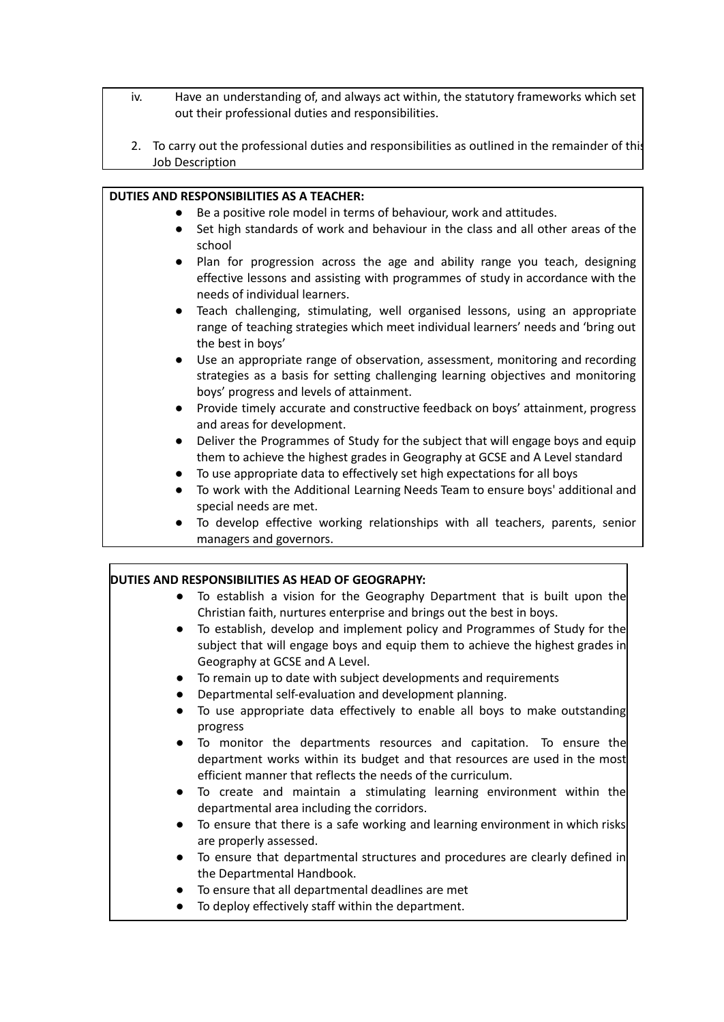- iv. Have an understanding of, and always act within, the statutory frameworks which set out their professional duties and responsibilities.
- 2. To carry out the professional duties and responsibilities as outlined in the remainder of this Job Description

#### **DUTIES AND RESPONSIBILITIES AS A TEACHER:**

- Be a positive role model in terms of behaviour, work and attitudes.
- Set high standards of work and behaviour in the class and all other areas of the school
- Plan for progression across the age and ability range you teach, designing effective lessons and assisting with programmes of study in accordance with the needs of individual learners.
- Teach challenging, stimulating, well organised lessons, using an appropriate range of teaching strategies which meet individual learners' needs and 'bring out the best in boys'
- Use an appropriate range of observation, assessment, monitoring and recording strategies as a basis for setting challenging learning objectives and monitoring boys' progress and levels of attainment.
- Provide timely accurate and constructive feedback on boys' attainment, progress and areas for development.
- Deliver the Programmes of Study for the subject that will engage boys and equip them to achieve the highest grades in Geography at GCSE and A Level standard
- To use appropriate data to effectively set high expectations for all boys
- To work with the Additional Learning Needs Team to ensure boys' additional and special needs are met.
- To develop effective working relationships with all teachers, parents, senior managers and governors.

| DUTIES AND RESPONSIBILITIES AS HEAD OF GEOGRAPHY: |                                                                                                                                                                                                                 |
|---------------------------------------------------|-----------------------------------------------------------------------------------------------------------------------------------------------------------------------------------------------------------------|
| $\bullet$                                         | To establish a vision for the Geography Department that is built upon the<br>Christian faith, nurtures enterprise and brings out the best in boys.                                                              |
| $\bullet$                                         | To establish, develop and implement policy and Programmes of Study for the<br>subject that will engage boys and equip them to achieve the highest grades in<br>Geography at GCSE and A Level.                   |
| $\bullet$                                         | To remain up to date with subject developments and requirements                                                                                                                                                 |
| $\bullet$                                         | Departmental self-evaluation and development planning.                                                                                                                                                          |
| $\bullet$<br>progress                             | To use appropriate data effectively to enable all boys to make outstanding                                                                                                                                      |
| $\bullet$                                         | To monitor the departments resources and capitation. To ensure the<br>department works within its budget and that resources are used in the most<br>efficient manner that reflects the needs of the curriculum. |
| $\bullet$                                         | To create and maintain a stimulating learning environment within the<br>departmental area including the corridors.                                                                                              |
| $\bullet$<br>are properly assessed.               | To ensure that there is a safe working and learning environment in which risks                                                                                                                                  |
| $\bullet$                                         | To ensure that departmental structures and procedures are clearly defined in<br>the Departmental Handbook.                                                                                                      |
| $\bullet$                                         | To ensure that all departmental deadlines are met                                                                                                                                                               |
|                                                   | To deploy effectively staff within the department.                                                                                                                                                              |